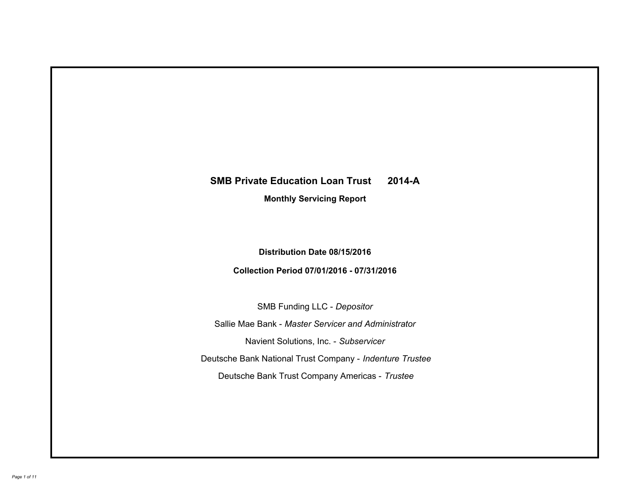# **SMB Private Education Loan Trust 2014-A Monthly Servicing Report**

# **Distribution Date 08/15/2016**

# **Collection Period 07/01/2016 - 07/31/2016**

SMB Funding LLC - *Depositor*

Sallie Mae Bank - *Master Servicer and Administrator*

Navient Solutions, Inc. - *Subservicer*

Deutsche Bank National Trust Company - *Indenture Trustee*

Deutsche Bank Trust Company Americas - *Trustee*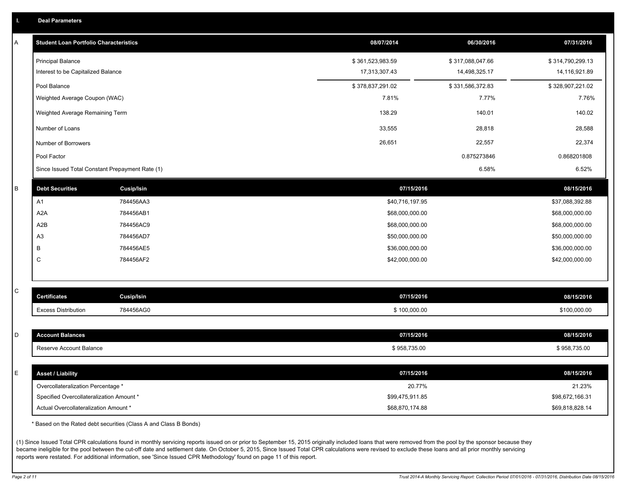|  |  |  | Deal Parameters |  |
|--|--|--|-----------------|--|
|--|--|--|-----------------|--|

| A | <b>Student Loan Portfolio Characteristics</b>                                  |                   | 08/07/2014                         | 06/30/2016       | 07/31/2016                         |
|---|--------------------------------------------------------------------------------|-------------------|------------------------------------|------------------|------------------------------------|
|   | <b>Principal Balance</b>                                                       |                   | \$361,523,983.59                   | \$317,088,047.66 | \$314,790,299.13                   |
|   | Interest to be Capitalized Balance                                             |                   | 17,313,307.43                      | 14,498,325.17    | 14,116,921.89                      |
|   | Pool Balance                                                                   |                   | \$378,837,291.02                   | \$331,586,372.83 | \$328,907,221.02                   |
|   | Weighted Average Coupon (WAC)                                                  |                   | 7.81%                              | 7.77%            | 7.76%                              |
|   | Weighted Average Remaining Term                                                |                   | 138.29                             | 140.01           | 140.02                             |
|   | Number of Loans                                                                |                   | 33,555                             | 28,818           | 28,588                             |
|   | Number of Borrowers                                                            |                   | 26,651                             | 22,557           | 22,374                             |
|   | Pool Factor                                                                    |                   |                                    | 0.875273846      | 0.868201808                        |
|   | Since Issued Total Constant Prepayment Rate (1)                                |                   |                                    | 6.58%            | 6.52%                              |
| B | <b>Debt Securities</b>                                                         | <b>Cusip/Isin</b> | 07/15/2016                         |                  | 08/15/2016                         |
|   | A1                                                                             | 784456AA3         | \$40,716,197.95                    |                  | \$37,088,392.88                    |
|   | A <sub>2</sub> A                                                               | 784456AB1         | \$68,000,000.00                    |                  | \$68,000,000.00                    |
|   | A2B                                                                            | 784456AC9         | \$68,000,000.00                    |                  | \$68,000,000.00                    |
|   | A3                                                                             | 784456AD7         | \$50,000,000.00                    |                  | \$50,000,000.00                    |
|   | В                                                                              | 784456AE5         | \$36,000,000.00                    |                  | \$36,000,000.00                    |
|   | C                                                                              | 784456AF2         | \$42,000,000.00                    |                  | \$42,000,000.00                    |
|   |                                                                                |                   |                                    |                  |                                    |
| C | <b>Certificates</b>                                                            | <b>Cusip/Isin</b> | 07/15/2016                         |                  | 08/15/2016                         |
|   | <b>Excess Distribution</b>                                                     | 784456AG0         | \$100,000.00                       |                  | \$100,000.00                       |
|   |                                                                                |                   |                                    |                  |                                    |
| D | <b>Account Balances</b>                                                        |                   | 07/15/2016                         |                  | 08/15/2016                         |
|   | Reserve Account Balance                                                        |                   | \$958,735.00                       |                  | \$958,735.00                       |
|   |                                                                                |                   |                                    |                  |                                    |
| E | <b>Asset / Liability</b>                                                       |                   | 07/15/2016                         |                  | 08/15/2016                         |
|   | Overcollateralization Percentage *<br>Specified Overcollateralization Amount * |                   | 20.77%                             |                  | 21.23%                             |
|   | Actual Overcollateralization Amount *                                          |                   | \$99,475,911.85<br>\$68,870,174.88 |                  | \$98,672,166.31<br>\$69,818,828.14 |
|   |                                                                                |                   |                                    |                  |                                    |

\* Based on the Rated debt securities (Class A and Class B Bonds)

(1) Since Issued Total CPR calculations found in monthly servicing reports issued on or prior to September 15, 2015 originally included loans that were removed from the pool by the sponsor because they became ineligible for the pool between the cut-off date and settlement date. On October 5, 2015, Since Issued Total CPR calculations were revised to exclude these loans and all prior monthly servicing reports were restated. For additional information, see 'Since Issued CPR Methodology' found on page 11 of this report.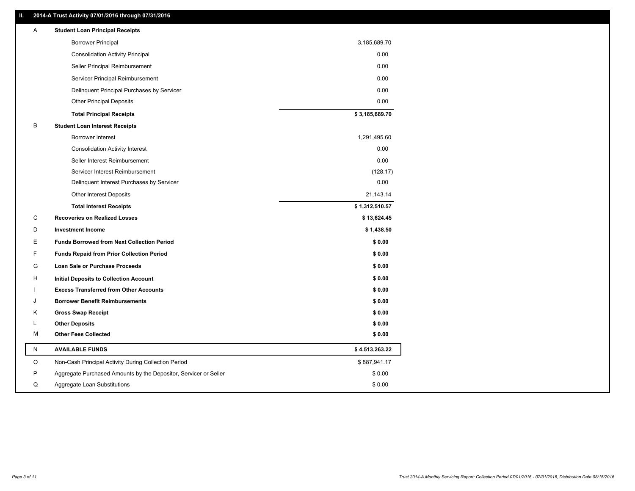## **II. 2014-A Trust Activity 07/01/2016 through 07/31/2016**

| Α         | <b>Student Loan Principal Receipts</b>                           |                |
|-----------|------------------------------------------------------------------|----------------|
|           | <b>Borrower Principal</b>                                        | 3,185,689.70   |
|           | <b>Consolidation Activity Principal</b>                          | 0.00           |
|           | Seller Principal Reimbursement                                   | 0.00           |
|           | Servicer Principal Reimbursement                                 | 0.00           |
|           | Delinquent Principal Purchases by Servicer                       | 0.00           |
|           | <b>Other Principal Deposits</b>                                  | 0.00           |
|           | <b>Total Principal Receipts</b>                                  | \$3,185,689.70 |
| B         | <b>Student Loan Interest Receipts</b>                            |                |
|           | Borrower Interest                                                | 1,291,495.60   |
|           | <b>Consolidation Activity Interest</b>                           | 0.00           |
|           | Seller Interest Reimbursement                                    | 0.00           |
|           | Servicer Interest Reimbursement                                  | (128.17)       |
|           | Delinquent Interest Purchases by Servicer                        | 0.00           |
|           | <b>Other Interest Deposits</b>                                   | 21,143.14      |
|           | <b>Total Interest Receipts</b>                                   | \$1,312,510.57 |
| C         | <b>Recoveries on Realized Losses</b>                             | \$13,624.45    |
| D         | <b>Investment Income</b>                                         | \$1,438.50     |
| Ε         | <b>Funds Borrowed from Next Collection Period</b>                | \$0.00         |
| F         | <b>Funds Repaid from Prior Collection Period</b>                 | \$0.00         |
| G         | <b>Loan Sale or Purchase Proceeds</b>                            | \$0.00         |
| н         | Initial Deposits to Collection Account                           | \$0.00         |
|           | <b>Excess Transferred from Other Accounts</b>                    | \$0.00         |
| ۱.        | <b>Borrower Benefit Reimbursements</b>                           | \$0.00         |
| Κ         | <b>Gross Swap Receipt</b>                                        | \$0.00         |
| L         | <b>Other Deposits</b>                                            | \$0.00         |
| м         | <b>Other Fees Collected</b>                                      | \$0.00         |
| ${\sf N}$ | <b>AVAILABLE FUNDS</b>                                           | \$4,513,263.22 |
| O         | Non-Cash Principal Activity During Collection Period             | \$887,941.17   |
| P         | Aggregate Purchased Amounts by the Depositor, Servicer or Seller | \$0.00         |
| Q         | Aggregate Loan Substitutions                                     | \$0.00         |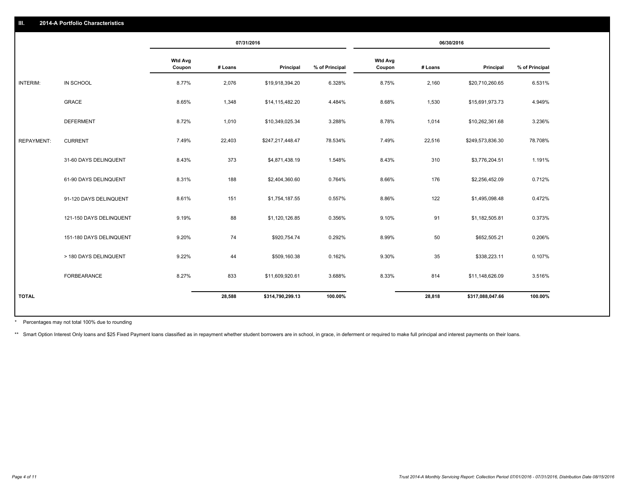|                   |                         | 07/31/2016               |         |                  | 06/30/2016     |                          |         |                  |                |
|-------------------|-------------------------|--------------------------|---------|------------------|----------------|--------------------------|---------|------------------|----------------|
|                   |                         | <b>Wtd Avg</b><br>Coupon | # Loans | Principal        | % of Principal | <b>Wtd Avg</b><br>Coupon | # Loans | Principal        | % of Principal |
| INTERIM:          | IN SCHOOL               | 8.77%                    | 2,076   | \$19,918,394.20  | 6.328%         | 8.75%                    | 2,160   | \$20,710,260.65  | 6.531%         |
|                   | GRACE                   | 8.65%                    | 1,348   | \$14,115,482.20  | 4.484%         | 8.68%                    | 1,530   | \$15,691,973.73  | 4.949%         |
|                   | <b>DEFERMENT</b>        | 8.72%                    | 1,010   | \$10,349,025.34  | 3.288%         | 8.78%                    | 1,014   | \$10,262,361.68  | 3.236%         |
| <b>REPAYMENT:</b> | <b>CURRENT</b>          | 7.49%                    | 22,403  | \$247,217,448.47 | 78.534%        | 7.49%                    | 22,516  | \$249,573,836.30 | 78.708%        |
|                   | 31-60 DAYS DELINQUENT   | 8.43%                    | 373     | \$4,871,438.19   | 1.548%         | 8.43%                    | 310     | \$3,776,204.51   | 1.191%         |
|                   | 61-90 DAYS DELINQUENT   | 8.31%                    | 188     | \$2,404,360.60   | 0.764%         | 8.66%                    | 176     | \$2,256,452.09   | 0.712%         |
|                   | 91-120 DAYS DELINQUENT  | 8.61%                    | 151     | \$1,754,187.55   | 0.557%         | 8.86%                    | 122     | \$1,495,098.48   | 0.472%         |
|                   | 121-150 DAYS DELINQUENT | 9.19%                    | 88      | \$1,120,126.85   | 0.356%         | 9.10%                    | 91      | \$1,182,505.81   | 0.373%         |
|                   | 151-180 DAYS DELINQUENT | 9.20%                    | 74      | \$920,754.74     | 0.292%         | 8.99%                    | 50      | \$652,505.21     | 0.206%         |
|                   | > 180 DAYS DELINQUENT   | 9.22%                    | 44      | \$509,160.38     | 0.162%         | 9.30%                    | 35      | \$338,223.11     | 0.107%         |
|                   | FORBEARANCE             | 8.27%                    | 833     | \$11,609,920.61  | 3.688%         | 8.33%                    | 814     | \$11,148,626.09  | 3.516%         |
| <b>TOTAL</b>      |                         |                          | 28,588  | \$314,790,299.13 | 100.00%        |                          | 28,818  | \$317,088,047.66 | 100.00%        |
|                   |                         |                          |         |                  |                |                          |         |                  |                |

Percentages may not total 100% due to rounding \*

\*\* Smart Option Interest Only loans and \$25 Fixed Payment loans classified as in repayment whether student borrowers are in school, in grace, in deferment or required to make full principal and interest payments on their l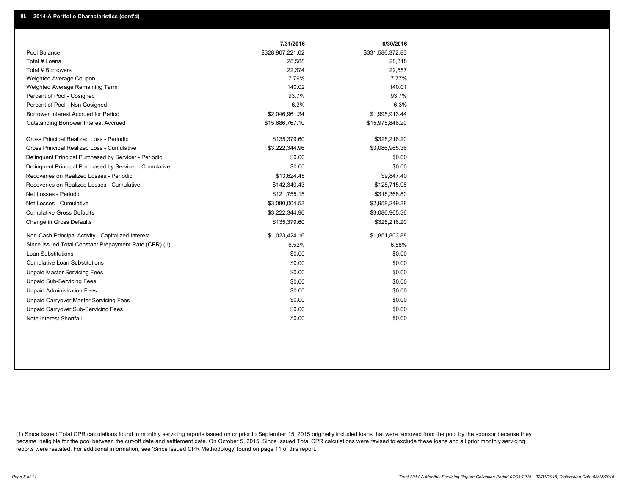|                                                         | 7/31/2016        | 6/30/2016        |
|---------------------------------------------------------|------------------|------------------|
| Pool Balance                                            | \$328,907,221.02 | \$331,586,372.83 |
| Total # Loans                                           | 28,588           | 28,818           |
| Total # Borrowers                                       | 22,374           | 22,557           |
| Weighted Average Coupon                                 | 7.76%            | 7.77%            |
| Weighted Average Remaining Term                         | 140.02           | 140.01           |
| Percent of Pool - Cosigned                              | 93.7%            | 93.7%            |
| Percent of Pool - Non Cosigned                          | 6.3%             | 6.3%             |
| Borrower Interest Accrued for Period                    | \$2,046,961.34   | \$1,995,913.44   |
| Outstanding Borrower Interest Accrued                   | \$15,686,767.10  | \$15,975,846.20  |
| Gross Principal Realized Loss - Periodic                | \$135,379.60     | \$328,216.20     |
| Gross Principal Realized Loss - Cumulative              | \$3,222,344.96   | \$3,086,965.36   |
| Delinguent Principal Purchased by Servicer - Periodic   | \$0.00           | \$0.00           |
| Delinguent Principal Purchased by Servicer - Cumulative | \$0.00           | \$0.00           |
| Recoveries on Realized Losses - Periodic                | \$13.624.45      | \$9,847.40       |
| Recoveries on Realized Losses - Cumulative              | \$142,340.43     | \$128,715.98     |
| Net Losses - Periodic                                   | \$121,755.15     | \$318,368.80     |
| Net Losses - Cumulative                                 | \$3,080,004.53   | \$2,958,249.38   |
| <b>Cumulative Gross Defaults</b>                        | \$3,222,344.96   | \$3,086,965.36   |
| Change in Gross Defaults                                | \$135,379.60     | \$328,216.20     |
| Non-Cash Principal Activity - Capitalized Interest      | \$1,023,424.16   | \$1,851,803.88   |
| Since Issued Total Constant Prepayment Rate (CPR) (1)   | 6.52%            | 6.58%            |
| <b>Loan Substitutions</b>                               | \$0.00           | \$0.00           |
| <b>Cumulative Loan Substitutions</b>                    | \$0.00           | \$0.00           |
| <b>Unpaid Master Servicing Fees</b>                     | \$0.00           | \$0.00           |
| <b>Unpaid Sub-Servicing Fees</b>                        | \$0.00           | \$0.00           |
| <b>Unpaid Administration Fees</b>                       | \$0.00           | \$0.00           |
| Unpaid Carryover Master Servicing Fees                  | \$0.00           | \$0.00           |
| Unpaid Carryover Sub-Servicing Fees                     | \$0.00           | \$0.00           |
| Note Interest Shortfall                                 | \$0.00           | \$0.00           |

(1) Since Issued Total CPR calculations found in monthly servicing reports issued on or prior to September 15, 2015 originally included loans that were removed from the pool by the sponsor because they became ineligible for the pool between the cut-off date and settlement date. On October 5, 2015, Since Issued Total CPR calculations were revised to exclude these loans and all prior monthly servicing reports were restated. For additional information, see 'Since Issued CPR Methodology' found on page 11 of this report.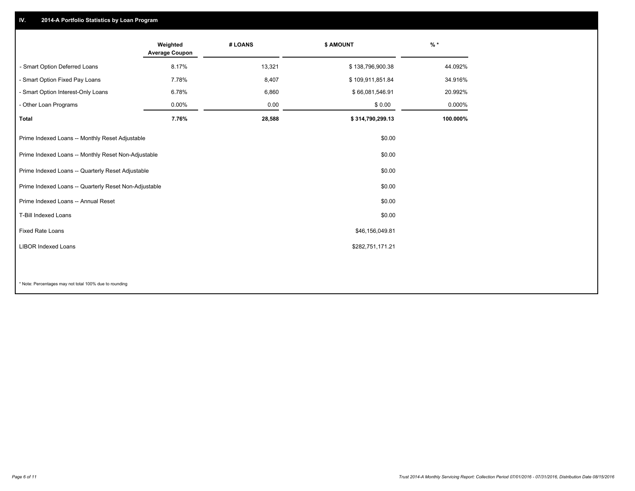## **IV. 2014-A Portfolio Statistics by Loan Program**

|                                                       | Weighted<br><b>Average Coupon</b> | # LOANS | \$ AMOUNT        | $%$ *    |
|-------------------------------------------------------|-----------------------------------|---------|------------------|----------|
| - Smart Option Deferred Loans                         | 8.17%                             | 13,321  | \$138,796,900.38 | 44.092%  |
| - Smart Option Fixed Pay Loans                        | 7.78%                             | 8,407   | \$109,911,851.84 | 34.916%  |
| - Smart Option Interest-Only Loans                    | 6.78%                             | 6,860   | \$66,081,546.91  | 20.992%  |
| - Other Loan Programs                                 | $0.00\%$                          | 0.00    | \$0.00           | 0.000%   |
| <b>Total</b>                                          | 7.76%                             | 28,588  | \$314,790,299.13 | 100.000% |
| Prime Indexed Loans -- Monthly Reset Adjustable       |                                   |         | \$0.00           |          |
| Prime Indexed Loans -- Monthly Reset Non-Adjustable   |                                   |         | \$0.00           |          |
| Prime Indexed Loans -- Quarterly Reset Adjustable     |                                   |         | \$0.00           |          |
| Prime Indexed Loans -- Quarterly Reset Non-Adjustable |                                   |         | \$0.00           |          |
| Prime Indexed Loans -- Annual Reset                   |                                   |         | \$0.00           |          |
| T-Bill Indexed Loans                                  |                                   |         | \$0.00           |          |
| <b>Fixed Rate Loans</b>                               |                                   |         | \$46,156,049.81  |          |
| <b>LIBOR Indexed Loans</b>                            |                                   |         | \$282,751,171.21 |          |
|                                                       |                                   |         |                  |          |

\* Note: Percentages may not total 100% due to rounding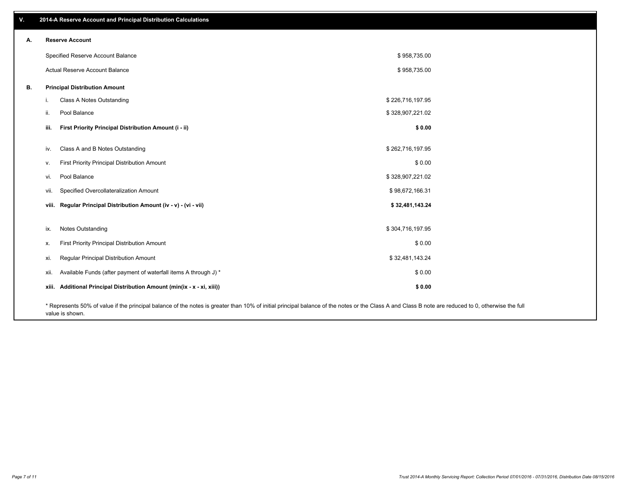| V. |       | 2014-A Reserve Account and Principal Distribution Calculations                                                                                                                                                        |                  |  |
|----|-------|-----------------------------------------------------------------------------------------------------------------------------------------------------------------------------------------------------------------------|------------------|--|
| А. |       | <b>Reserve Account</b>                                                                                                                                                                                                |                  |  |
|    |       | Specified Reserve Account Balance                                                                                                                                                                                     | \$958,735.00     |  |
|    |       | Actual Reserve Account Balance                                                                                                                                                                                        | \$958,735.00     |  |
|    |       |                                                                                                                                                                                                                       |                  |  |
| В. |       | <b>Principal Distribution Amount</b>                                                                                                                                                                                  |                  |  |
|    | L.    | Class A Notes Outstanding                                                                                                                                                                                             | \$226,716,197.95 |  |
|    | ii.   | Pool Balance                                                                                                                                                                                                          | \$328,907,221.02 |  |
|    | iii.  | First Priority Principal Distribution Amount (i - ii)                                                                                                                                                                 | \$0.00           |  |
|    |       |                                                                                                                                                                                                                       |                  |  |
|    | iv.   | Class A and B Notes Outstanding                                                                                                                                                                                       | \$262,716,197.95 |  |
|    | v.    | First Priority Principal Distribution Amount                                                                                                                                                                          | \$0.00           |  |
|    | vi.   | Pool Balance                                                                                                                                                                                                          | \$328,907,221.02 |  |
|    | vii.  | Specified Overcollateralization Amount                                                                                                                                                                                | \$98,672,166.31  |  |
|    |       | viii. Regular Principal Distribution Amount (iv - v) - (vi - vii)                                                                                                                                                     | \$32,481,143.24  |  |
|    |       |                                                                                                                                                                                                                       |                  |  |
|    | ix.   | Notes Outstanding                                                                                                                                                                                                     | \$304,716,197.95 |  |
|    | х.    | First Priority Principal Distribution Amount                                                                                                                                                                          | \$0.00           |  |
|    | xi.   | Regular Principal Distribution Amount                                                                                                                                                                                 | \$32,481,143.24  |  |
|    | xii.  | Available Funds (after payment of waterfall items A through J) *                                                                                                                                                      | \$0.00           |  |
|    | xiii. | Additional Principal Distribution Amount (min(ix - x - xi, xiii))                                                                                                                                                     | \$0.00           |  |
|    |       | * Represents 50% of value if the principal balance of the notes is greater than 10% of initial principal balance of the notes or the Class A and Class B note are reduced to 0, otherwise the full<br>value is shown. |                  |  |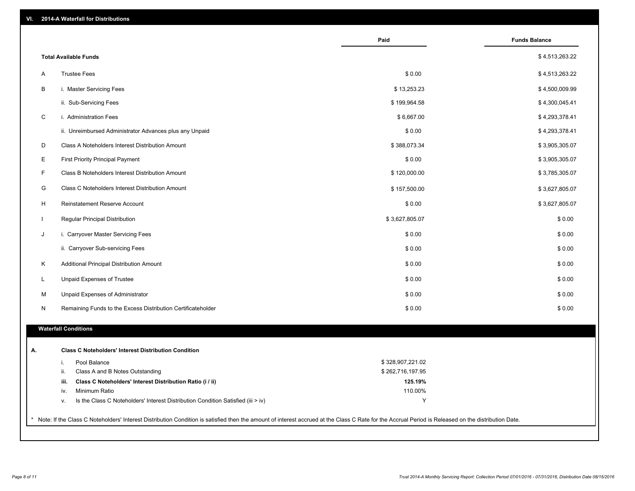| VI. |  | 2014-A Waterfall for Distributions |  |  |  |
|-----|--|------------------------------------|--|--|--|
|-----|--|------------------------------------|--|--|--|

|              |                                                                                        | Paid             | <b>Funds Balance</b> |
|--------------|----------------------------------------------------------------------------------------|------------------|----------------------|
|              | <b>Total Available Funds</b>                                                           |                  | \$4,513,263.22       |
| A            | <b>Trustee Fees</b>                                                                    | \$0.00           | \$4,513,263.22       |
| B            | i. Master Servicing Fees                                                               | \$13,253.23      | \$4,500,009.99       |
|              | ii. Sub-Servicing Fees                                                                 | \$199,964.58     | \$4,300,045.41       |
| C            | i. Administration Fees                                                                 | \$6,667.00       | \$4,293,378.41       |
|              | ii. Unreimbursed Administrator Advances plus any Unpaid                                | \$0.00           | \$4,293,378.41       |
| D            | Class A Noteholders Interest Distribution Amount                                       | \$388,073.34     | \$3,905,305.07       |
| E            | <b>First Priority Principal Payment</b>                                                | \$0.00           | \$3,905,305.07       |
| F            | Class B Noteholders Interest Distribution Amount                                       | \$120,000.00     | \$3,785,305.07       |
| G            | Class C Noteholders Interest Distribution Amount                                       | \$157,500.00     | \$3,627,805.07       |
| H            | Reinstatement Reserve Account                                                          | \$0.00           | \$3,627,805.07       |
| $\mathbf{I}$ | Regular Principal Distribution                                                         | \$3,627,805.07   | \$0.00               |
| J            | i. Carryover Master Servicing Fees                                                     | \$0.00           | \$0.00               |
|              | ii. Carryover Sub-servicing Fees                                                       | \$0.00           | \$0.00               |
| K            | Additional Principal Distribution Amount                                               | \$0.00           | \$0.00               |
| L            | Unpaid Expenses of Trustee                                                             | \$0.00           | \$0.00               |
| M            | Unpaid Expenses of Administrator                                                       | \$0.00           | \$0.00               |
| N            | Remaining Funds to the Excess Distribution Certificateholder                           | \$0.00           | \$0.00               |
|              | <b>Waterfall Conditions</b>                                                            |                  |                      |
|              |                                                                                        |                  |                      |
| А.           | <b>Class C Noteholders' Interest Distribution Condition</b>                            |                  |                      |
|              | Pool Balance<br>i.                                                                     | \$328,907,221.02 |                      |
|              | ii.<br>Class A and B Notes Outstanding                                                 | \$262,716,197.95 |                      |
|              | iii.<br>Class C Noteholders' Interest Distribution Ratio (i / ii)                      | 125.19%          |                      |
|              | Minimum Ratio<br>iv.                                                                   | 110.00%          |                      |
|              | Is the Class C Noteholders' Interest Distribution Condition Satisfied (iii > iv)<br>ν. | Y                |                      |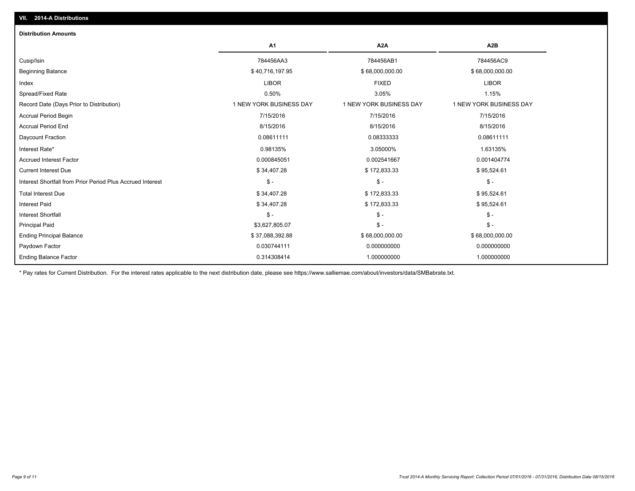| <b>Distribution Amounts</b>                                |                         |                         |                         |
|------------------------------------------------------------|-------------------------|-------------------------|-------------------------|
|                                                            | A <sub>1</sub>          | A <sub>2</sub> A        | A <sub>2</sub> B        |
| Cusip/Isin                                                 | 784456AA3               | 784456AB1               | 784456AC9               |
| <b>Beginning Balance</b>                                   | \$40,716,197.95         | \$68,000,000.00         | \$68,000,000.00         |
| Index                                                      | <b>LIBOR</b>            | <b>FIXED</b>            | <b>LIBOR</b>            |
| Spread/Fixed Rate                                          | 0.50%                   | 3.05%                   | 1.15%                   |
| Record Date (Days Prior to Distribution)                   | 1 NEW YORK BUSINESS DAY | 1 NEW YORK BUSINESS DAY | 1 NEW YORK BUSINESS DAY |
| <b>Accrual Period Begin</b>                                | 7/15/2016               | 7/15/2016               | 7/15/2016               |
| <b>Accrual Period End</b>                                  | 8/15/2016               | 8/15/2016               | 8/15/2016               |
| Daycount Fraction                                          | 0.08611111              | 0.08333333              | 0.08611111              |
| Interest Rate*                                             | 0.98135%                | 3.05000%                | 1.63135%                |
| <b>Accrued Interest Factor</b>                             | 0.000845051             | 0.002541667             | 0.001404774             |
| <b>Current Interest Due</b>                                | \$34,407.28             | \$172,833.33            | \$95,524.61             |
| Interest Shortfall from Prior Period Plus Accrued Interest | $\mathsf{\$}$ -         | $\mathsf{\$}$ -         | $\mathsf{\$}$ -         |
| <b>Total Interest Due</b>                                  | \$34,407.28             | \$172,833.33            | \$95,524.61             |
| <b>Interest Paid</b>                                       | \$34,407.28             | \$172,833.33            | \$95,524.61             |
| <b>Interest Shortfall</b>                                  | $\frac{2}{3}$ -         | $\mathsf{\$}$ -         | $$ -$                   |
| <b>Principal Paid</b>                                      | \$3,627,805.07          | $\frac{2}{3}$ -         | $S -$                   |
| <b>Ending Principal Balance</b>                            | \$37,088,392.88         | \$68,000,000.00         | \$68,000,000.00         |
| Paydown Factor                                             | 0.030744111             | 0.000000000             | 0.000000000             |
| <b>Ending Balance Factor</b>                               | 0.314308414             | 1.000000000             | 1.000000000             |

\* Pay rates for Current Distribution. For the interest rates applicable to the next distribution date, please see https://www.salliemae.com/about/investors/data/SMBabrate.txt.

**VII. 2014-A Distributions**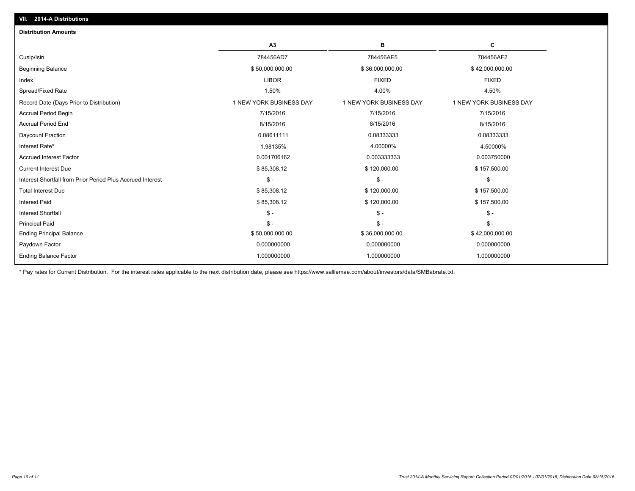| <b>Distribution Amounts</b>                                |                         |                         |                         |
|------------------------------------------------------------|-------------------------|-------------------------|-------------------------|
|                                                            | A3                      | в                       | c                       |
| Cusip/Isin                                                 | 784456AD7               | 784456AE5               | 784456AF2               |
| <b>Beginning Balance</b>                                   | \$50,000,000.00         | \$36,000,000.00         | \$42,000,000.00         |
| Index                                                      | <b>LIBOR</b>            | <b>FIXED</b>            | <b>FIXED</b>            |
| Spread/Fixed Rate                                          | 1.50%                   | 4.00%                   | 4.50%                   |
| Record Date (Days Prior to Distribution)                   | 1 NEW YORK BUSINESS DAY | 1 NEW YORK BUSINESS DAY | 1 NEW YORK BUSINESS DAY |
| <b>Accrual Period Begin</b>                                | 7/15/2016               | 7/15/2016               | 7/15/2016               |
| <b>Accrual Period End</b>                                  | 8/15/2016               | 8/15/2016               | 8/15/2016               |
| Daycount Fraction                                          | 0.08611111              | 0.08333333              | 0.08333333              |
| Interest Rate*                                             | 1.98135%                | 4.00000%                | 4.50000%                |
| <b>Accrued Interest Factor</b>                             | 0.001706162             | 0.003333333             | 0.003750000             |
| <b>Current Interest Due</b>                                | \$85,308.12             | \$120,000.00            | \$157,500.00            |
| Interest Shortfall from Prior Period Plus Accrued Interest | $$ -$                   | $\mathsf{\$}$ -         | $$ -$                   |
| <b>Total Interest Due</b>                                  | \$85,308.12             | \$120,000.00            | \$157,500.00            |
| <b>Interest Paid</b>                                       | \$85,308.12             | \$120,000.00            | \$157,500.00            |
| <b>Interest Shortfall</b>                                  | $S -$                   | $\mathcal{S}$ -         | $S -$                   |
| <b>Principal Paid</b>                                      | $S -$                   | $\mathsf{\$}$ -         | $S -$                   |
| <b>Ending Principal Balance</b>                            | \$50,000,000.00         | \$36,000,000.00         | \$42,000,000.00         |
| Paydown Factor                                             | 0.000000000             | 0.000000000             | 0.000000000             |
| <b>Ending Balance Factor</b>                               | 1.000000000             | 1.000000000             | 1.000000000             |
|                                                            |                         |                         |                         |

\* Pay rates for Current Distribution. For the interest rates applicable to the next distribution date, please see https://www.salliemae.com/about/investors/data/SMBabrate.txt.

**VII. 2014-A Distributions**